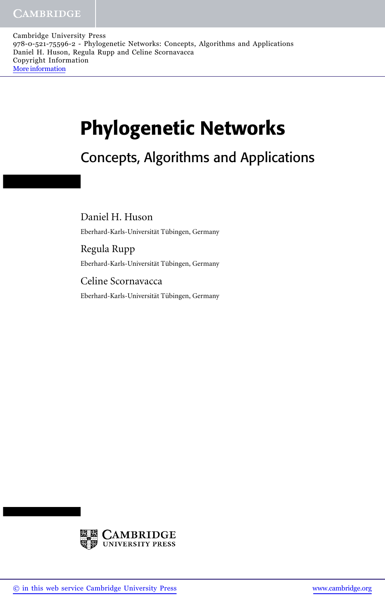Cambridge University Press 978-0-521-75596-2 - Phylogenetic Networks: Concepts, Algorithms and Applications Daniel H. Huson, Regula Rupp and Celine Scornavacca Copyright Information [More information](http://www.cambridge.org/9780521755962)

## Phylogenetic Networks

Concepts, Algorithms and Applications

Daniel H. Huson Eberhard-Karls-Universität Tübingen, Germany

Regula Rupp Eberhard-Karls-Universität Tübingen, Germany

Celine Scornavacca Eberhard-Karls-Universität Tübingen, Germany